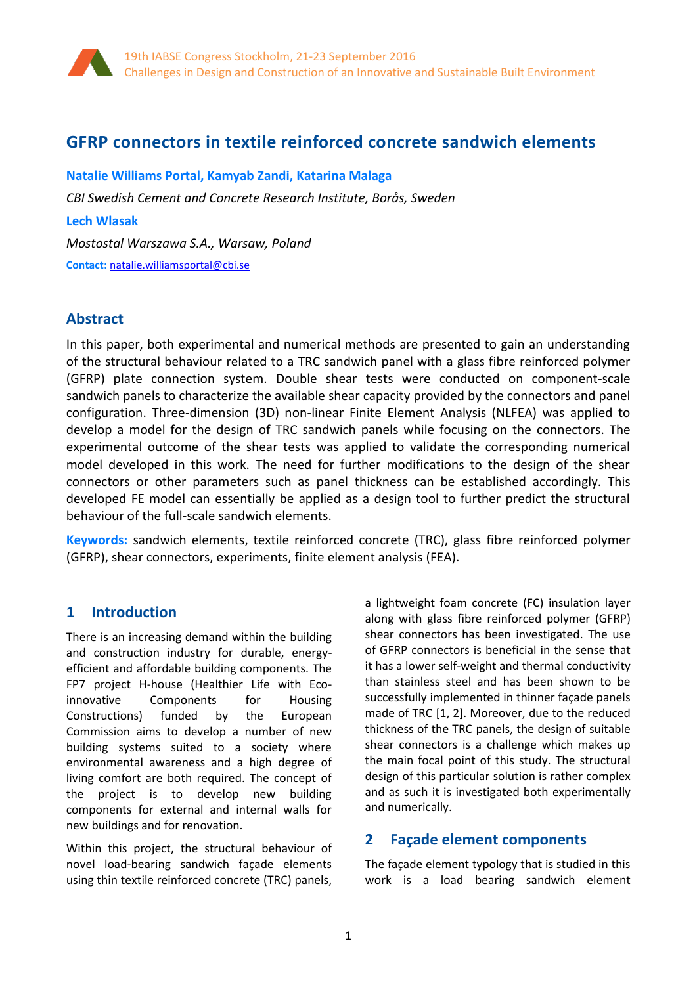

# **GFRP connectors in textile reinforced concrete sandwich elements**

**Natalie Williams Portal, Kamyab Zandi, Katarina Malaga** *CBI Swedish Cement and Concrete Research Institute, Borås, Sweden* **Lech Wlasak** *Mostostal Warszawa S.A., Warsaw, Poland* **Contact:** [natalie.williamsportal@cbi.se](mailto:natalie.williamsportal@cbi.se)

## **Abstract**

In this paper, both experimental and numerical methods are presented to gain an understanding of the structural behaviour related to a TRC sandwich panel with a glass fibre reinforced polymer (GFRP) plate connection system. Double shear tests were conducted on component-scale sandwich panels to characterize the available shear capacity provided by the connectors and panel configuration. Three-dimension (3D) non-linear Finite Element Analysis (NLFEA) was applied to develop a model for the design of TRC sandwich panels while focusing on the connectors. The experimental outcome of the shear tests was applied to validate the corresponding numerical model developed in this work. The need for further modifications to the design of the shear connectors or other parameters such as panel thickness can be established accordingly. This developed FE model can essentially be applied as a design tool to further predict the structural behaviour of the full-scale sandwich elements.

**Keywords:** sandwich elements, textile reinforced concrete (TRC), glass fibre reinforced polymer (GFRP), shear connectors, experiments, finite element analysis (FEA).

## **1 Introduction**

There is an increasing demand within the building and construction industry for durable, energyefficient and affordable building components. The FP7 project H-house (Healthier Life with Ecoinnovative Components for Housing Constructions) funded by the European Commission aims to develop a number of new building systems suited to a society where environmental awareness and a high degree of living comfort are both required. The concept of the project is to develop new building components for external and internal walls for new buildings and for renovation.

Within this project, the structural behaviour of novel load-bearing sandwich façade elements using thin textile reinforced concrete (TRC) panels,

a lightweight foam concrete (FC) insulation layer along with glass fibre reinforced polymer (GFRP) shear connectors has been investigated. The use of GFRP connectors is beneficial in the sense that it has a lower self-weight and thermal conductivity than stainless steel and has been shown to be successfully implemented in thinner façade panels made of TRC [\[1,](#page-7-0) [2\]](#page-7-1). Moreover, due to the reduced thickness of the TRC panels, the design of suitable shear connectors is a challenge which makes up the main focal point of this study. The structural design of this particular solution is rather complex and as such it is investigated both experimentally and numerically.

## **2 Façade element components**

The façade element typology that is studied in this work is a load bearing sandwich element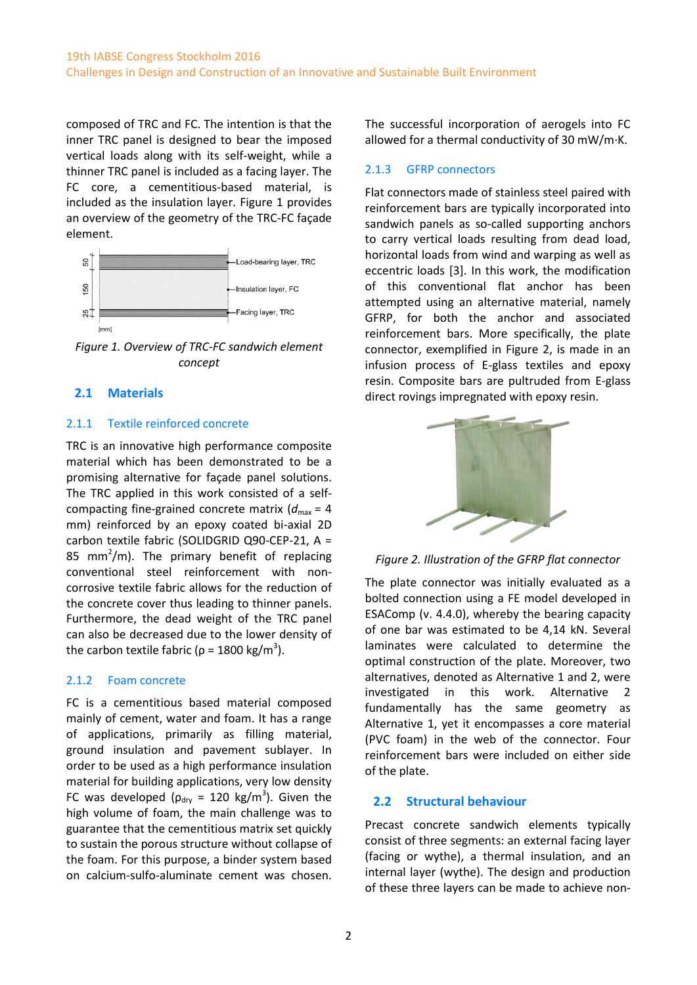composed of TRC and FC. The intention is that the inner TRC panel is designed to bear the imposed vertical loads along with its self-weight, while a thinner TRC panel is included as a facing layer. The FC core, a cementitious-based material, is included as the insulation layer. [Figure 1](#page-1-0) provides an overview of the geometry of the TRC-FC façade element.



<span id="page-1-0"></span>*Figure 1. Overview of TRC-FC sandwich element concept*

### **2.1 Materials**

#### 2.1.1 Textile reinforced concrete

TRC is an innovative high performance composite material which has been demonstrated to be a promising alternative for façade panel solutions. The TRC applied in this work consisted of a selfcompacting fine-grained concrete matrix  $(d_{\text{max}} = 4$ mm) reinforced by an epoxy coated bi-axial 2D carbon textile fabric (SOLIDGRID Q90-CEP-21, A = 85 mm<sup>2</sup>/m). The primary benefit of replacing conventional steel reinforcement with noncorrosive textile fabric allows for the reduction of the concrete cover thus leading to thinner panels. Furthermore, the dead weight of the TRC panel can also be decreased due to the lower density of the carbon textile fabric ( $\rho = 1800 \text{ kg/m}^3$ ).

### 2.1.2 Foam concrete

FC is a cementitious based material composed mainly of cement, water and foam. It has a range of applications, primarily as filling material, ground insulation and pavement sublayer. In order to be used as a high performance insulation material for building applications, very low density FC was developed ( $\rho_{\text{dry}} = 120 \text{ kg/m}^3$ ). Given the high volume of foam, the main challenge was to guarantee that the cementitious matrix set quickly to sustain the porous structure without collapse of the foam. For this purpose, a binder system based on calcium-sulfo-aluminate cement was chosen.

The successful incorporation of aerogels into FC allowed for a thermal conductivity of 30 mW/m·K.

### 2.1.3 GFRP connectors

Flat connectors made of stainless steel paired with reinforcement bars are typically incorporated into sandwich panels as so-called supporting anchors to carry vertical loads resulting from dead load, horizontal loads from wind and warping as well as eccentric loads [\[3\]](#page-7-2). In this work, the modification of this conventional flat anchor has been attempted using an alternative material, namely GFRP, for both the anchor and associated reinforcement bars. More specifically, the plate connector, exemplified in [Figure 2,](#page-1-1) is made in an infusion process of E-glass textiles and epoxy resin. Composite bars are pultruded from E-glass direct rovings impregnated with epoxy resin.



<span id="page-1-1"></span>*Figure 2. Illustration of the GFRP flat connector*

The plate connector was initially evaluated as a bolted connection using a FE model developed in ESAComp (v. 4.4.0), whereby the bearing capacity of one bar was estimated to be 4,14 kN. Several laminates were calculated to determine the optimal construction of the plate. Moreover, two alternatives, denoted as Alternative 1 and 2, were investigated in this work. Alternative 2 fundamentally has the same geometry as Alternative 1, yet it encompasses a core material (PVC foam) in the web of the connector. Four reinforcement bars were included on either side of the plate.

## **2.2 Structural behaviour**

Precast concrete sandwich elements typically consist of three segments: an external facing layer (facing or wythe), a thermal insulation, and an internal layer (wythe). The design and production of these three layers can be made to achieve non-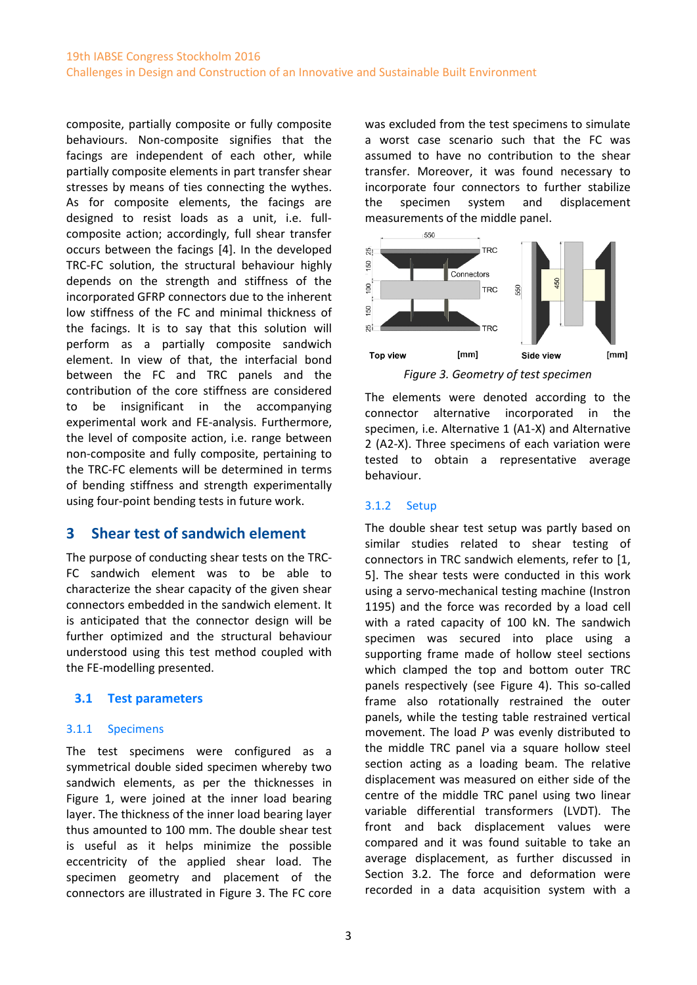composite, partially composite or fully composite behaviours. Non-composite signifies that the facings are independent of each other, while partially composite elements in part transfer shear stresses by means of ties connecting the wythes. As for composite elements, the facings are designed to resist loads as a unit, i.e. fullcomposite action; accordingly, full shear transfer occurs between the facings [\[4\]](#page-7-3). In the developed TRC-FC solution, the structural behaviour highly depends on the strength and stiffness of the incorporated GFRP connectors due to the inherent low stiffness of the FC and minimal thickness of the facings. It is to say that this solution will perform as a partially composite sandwich element. In view of that, the interfacial bond between the FC and TRC panels and the contribution of the core stiffness are considered to be insignificant in the accompanying experimental work and FE-analysis. Furthermore, the level of composite action, i.e. range between non-composite and fully composite, pertaining to the TRC-FC elements will be determined in terms of bending stiffness and strength experimentally using four-point bending tests in future work.

# **3 Shear test of sandwich element**

The purpose of conducting shear tests on the TRC-FC sandwich element was to be able to characterize the shear capacity of the given shear connectors embedded in the sandwich element. It is anticipated that the connector design will be further optimized and the structural behaviour understood using this test method coupled with the FE-modelling presented.

### **3.1 Test parameters**

#### 3.1.1 Specimens

The test specimens were configured as a symmetrical double sided specimen whereby two sandwich elements, as per the thicknesses in [Figure 1,](#page-1-0) were joined at the inner load bearing layer. The thickness of the inner load bearing layer thus amounted to 100 mm. The double shear test is useful as it helps minimize the possible eccentricity of the applied shear load. The specimen geometry and placement of the connectors are illustrated in [Figure 3.](#page-2-0) The FC core was excluded from the test specimens to simulate a worst case scenario such that the FC was assumed to have no contribution to the shear transfer. Moreover, it was found necessary to incorporate four connectors to further stabilize the specimen system and displacement measurements of the middle panel.



*Figure 3. Geometry of test specimen*

<span id="page-2-0"></span>The elements were denoted according to the connector alternative incorporated in the specimen, i.e. Alternative 1 (A1-X) and Alternative 2 (A2-X). Three specimens of each variation were tested to obtain a representative average behaviour.

### 3.1.2 Setup

The double shear test setup was partly based on similar studies related to shear testing of connectors in TRC sandwich elements, refer to [\[1,](#page-7-0) [5\]](#page-7-4). The shear tests were conducted in this work using a servo-mechanical testing machine (Instron 1195) and the force was recorded by a load cell with a rated capacity of 100 kN. The sandwich specimen was secured into place using a supporting frame made of hollow steel sections which clamped the top and bottom outer TRC panels respectively (see [Figure 4\)](#page-3-0). This so-called frame also rotationally restrained the outer panels, while the testing table restrained vertical movement. The load *P* was evenly distributed to the middle TRC panel via a square hollow steel section acting as a loading beam. The relative displacement was measured on either side of the centre of the middle TRC panel using two linear variable differential transformers (LVDT). The front and back displacement values were compared and it was found suitable to take an average displacement, as further discussed in Section 3.2. The force and deformation were recorded in a data acquisition system with a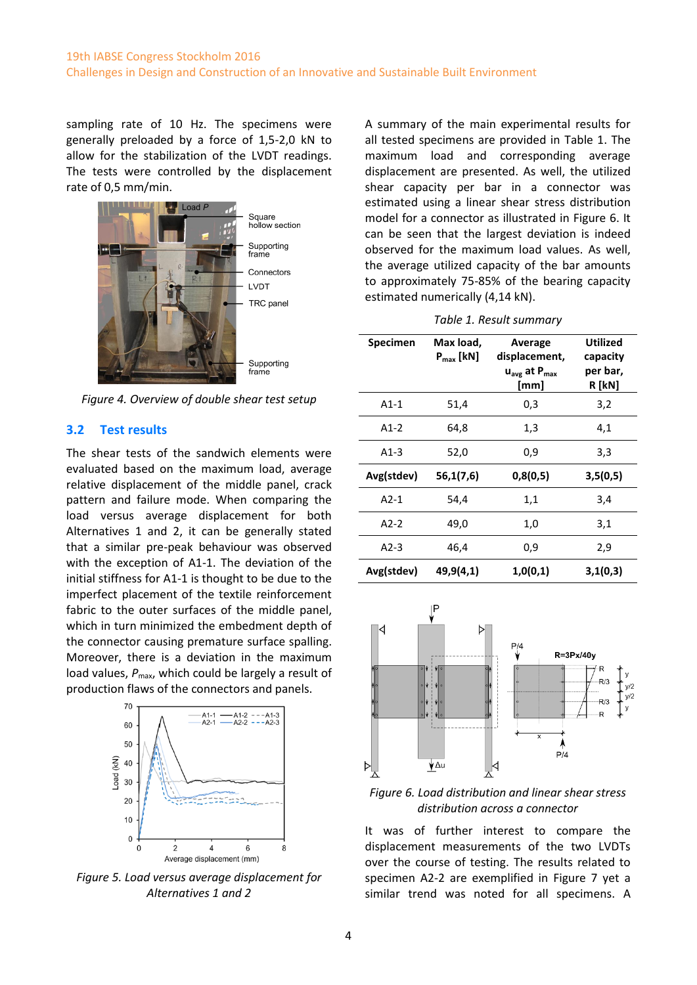sampling rate of 10 Hz. The specimens were generally preloaded by a force of 1,5-2,0 kN to allow for the stabilization of the LVDT readings. The tests were controlled by the displacement rate of 0,5 mm/min.



hollow section Supporting Connectors

Supporting

<span id="page-3-0"></span>*Figure 4. Overview of double shear test setup*

#### **3.2 Test results**

The shear tests of the sandwich elements were evaluated based on the maximum load, average relative displacement of the middle panel, crack pattern and failure mode. When comparing the load versus average displacement for both Alternatives 1 and 2, it can be generally stated that a similar pre-peak behaviour was observed with the exception of A1-1. The deviation of the initial stiffness for A1-1 is thought to be due to the imperfect placement of the textile reinforcement fabric to the outer surfaces of the middle panel, which in turn minimized the embedment depth of the connector causing premature surface spalling. Moreover, there is a deviation in the maximum load values,  $P_{\text{max}}$ , which could be largely a result of production flaws of the connectors and panels.



*Figure 5. Load versus average displacement for Alternatives 1 and 2*

A summary of the main experimental results for all tested specimens are provided in [Table 1.](#page-3-1) The maximum load and corresponding average displacement are presented. As well, the utilized shear capacity per bar in a connector was estimated using a linear shear stress distribution model for a connector as illustrated in [Figure 6.](#page-3-2) It can be seen that the largest deviation is indeed observed for the maximum load values. As well, the average utilized capacity of the bar amounts to approximately 75-85% of the bearing capacity estimated numerically (4,14 kN).

<span id="page-3-1"></span>

| Specimen   | Max load,<br>$P_{\text{max}}$ [kN] | Average<br>displacement,<br>$u_{\text{ave}}$ at $P_{\text{max}}$<br>[mm] | <b>Utilized</b><br>capacity<br>per bar,<br>R [kN] |
|------------|------------------------------------|--------------------------------------------------------------------------|---------------------------------------------------|
| $A1-1$     | 51,4                               | 0,3                                                                      | 3,2                                               |
| $A1-2$     | 64,8                               | 1,3                                                                      | 4,1                                               |
| $A1-3$     | 52,0                               | 0,9                                                                      | 3,3                                               |
| Avg(stdev) | 56,1(7,6)                          | 0,8(0,5)                                                                 | 3,5(0,5)                                          |
| $A2-1$     | 54,4                               | 1,1                                                                      | 3,4                                               |
| $A2-2$     | 49,0                               | 1,0                                                                      | 3,1                                               |
| $A2-3$     | 46,4                               | 0,9                                                                      | 2,9                                               |
| Avg(stdev) | 49,9(4,1)                          | 1,0(0,1)                                                                 | 3,1(0,3)                                          |



<span id="page-3-2"></span>*Figure 6. Load distribution and linear shear stress distribution across a connector*

It was of further interest to compare the displacement measurements of the two LVDTs over the course of testing. The results related to specimen A2-2 are exemplified in [Figure 7](#page-4-0) yet a similar trend was noted for all specimens. A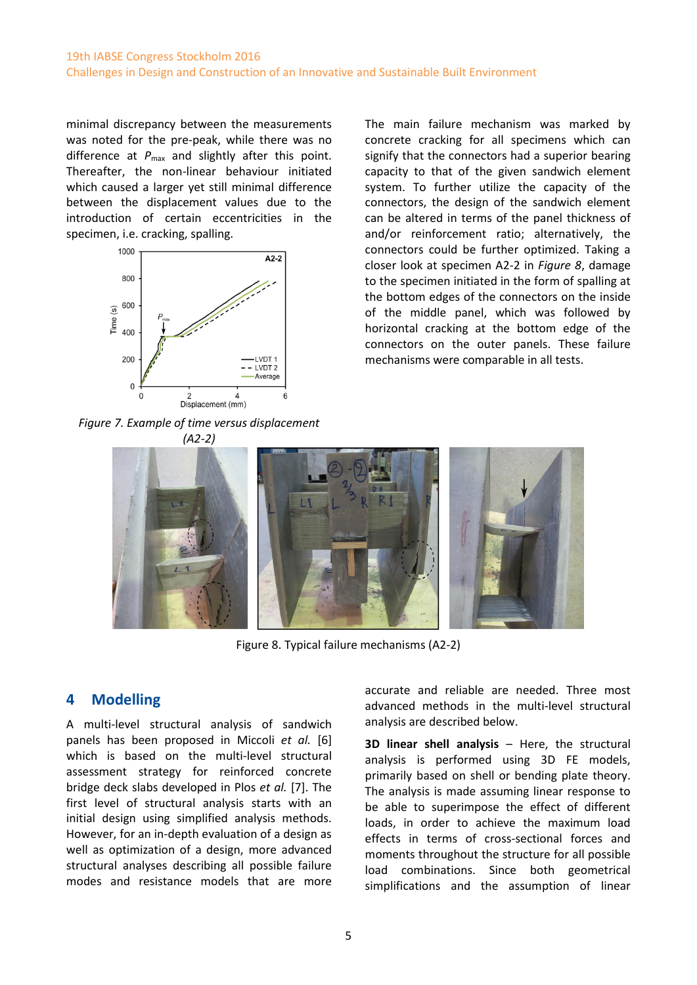### 19th IABSE Congress Stockholm 2016 Challenges in Design and Construction of an Innovative and Sustainable Built Environment

minimal discrepancy between the measurements was noted for the pre-peak, while there was no difference at  $P_{\text{max}}$  and slightly after this point. Thereafter, the non-linear behaviour initiated which caused a larger yet still minimal difference between the displacement values due to the introduction of certain eccentricities in the specimen, i.e. cracking, spalling.



<span id="page-4-0"></span>*Figure 7. Example of time versus displacement* 

The main failure mechanism was marked by concrete cracking for all specimens which can signify that the connectors had a superior bearing capacity to that of the given sandwich element system. To further utilize the capacity of the connectors, the design of the sandwich element can be altered in terms of the panel thickness of and/or reinforcement ratio; alternatively, the connectors could be further optimized. Taking a closer look at specimen A2-2 in *[Figure 8](#page-4-1)*, damage to the specimen initiated in the form of spalling at the bottom edges of the connectors on the inside of the middle panel, which was followed by horizontal cracking at the bottom edge of the connectors on the outer panels. These failure mechanisms were comparable in all tests.



Figure 8. Typical failure mechanisms (A2-2)

## <span id="page-4-1"></span>**4 Modelling**

A multi-level structural analysis of sandwich panels has been proposed in Miccoli *et al.* [6] which is based on the multi-level structural assessment strategy for reinforced concrete bridge deck slabs developed in Plos *et al.* [7]. The first level of structural analysis starts with an initial design using simplified analysis methods. However, for an in-depth evaluation of a design as well as optimization of a design, more advanced structural analyses describing all possible failure modes and resistance models that are more accurate and reliable are needed. Three most advanced methods in the multi-level structural analysis are described below.

**3D linear shell analysis** – Here, the structural analysis is performed using 3D FE models, primarily based on shell or bending plate theory. The analysis is made assuming linear response to be able to superimpose the effect of different loads, in order to achieve the maximum load effects in terms of cross-sectional forces and moments throughout the structure for all possible load combinations. Since both geometrical simplifications and the assumption of linear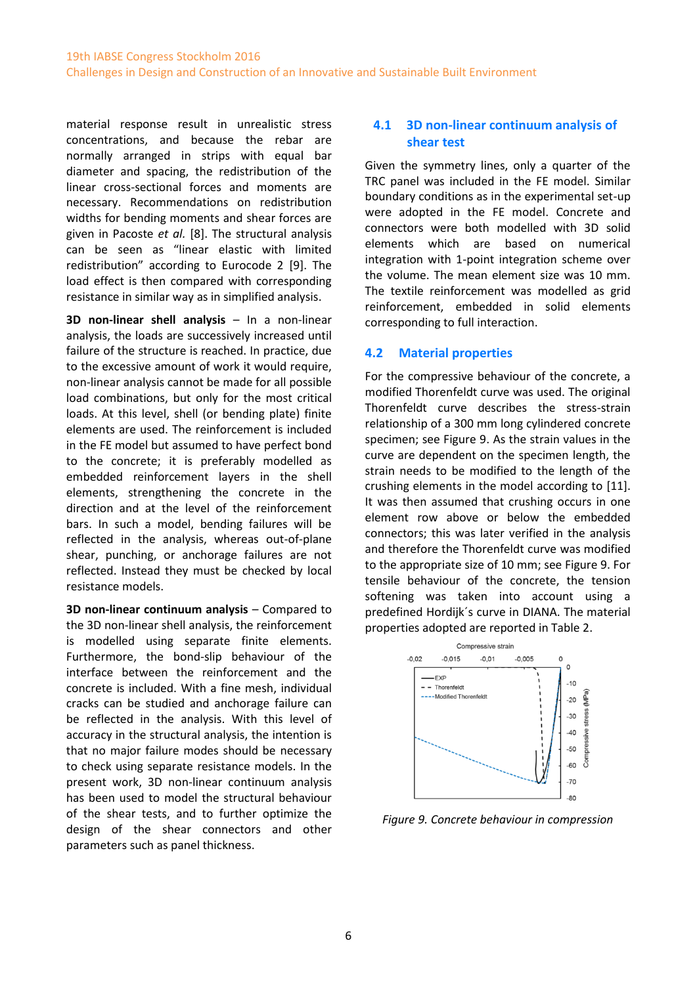material response result in unrealistic stress concentrations, and because the rebar are normally arranged in strips with equal bar diameter and spacing, the redistribution of the linear cross-sectional forces and moments are necessary. Recommendations on redistribution widths for bending moments and shear forces are given in Pacoste *et al.* [8]. The structural analysis can be seen as "linear elastic with limited redistribution" according to Eurocode 2 [9]. The load effect is then compared with corresponding resistance in similar way as in simplified analysis.

**3D non-linear shell analysis** – In a non-linear analysis, the loads are successively increased until failure of the structure is reached. In practice, due to the excessive amount of work it would require, non-linear analysis cannot be made for all possible load combinations, but only for the most critical loads. At this level, shell (or bending plate) finite elements are used. The reinforcement is included in the FE model but assumed to have perfect bond to the concrete; it is preferably modelled as embedded reinforcement layers in the shell elements, strengthening the concrete in the direction and at the level of the reinforcement bars. In such a model, bending failures will be reflected in the analysis, whereas out-of-plane shear, punching, or anchorage failures are not reflected. Instead they must be checked by local resistance models.

**3D non-linear continuum analysis** – Compared to the 3D non-linear shell analysis, the reinforcement is modelled using separate finite elements. Furthermore, the bond-slip behaviour of the interface between the reinforcement and the concrete is included. With a fine mesh, individual cracks can be studied and anchorage failure can be reflected in the analysis. With this level of accuracy in the structural analysis, the intention is that no major failure modes should be necessary to check using separate resistance models. In the present work, 3D non-linear continuum analysis has been used to model the structural behaviour of the shear tests, and to further optimize the design of the shear connectors and other parameters such as panel thickness.

### **4.1 3D non-linear continuum analysis of shear test**

Given the symmetry lines, only a quarter of the TRC panel was included in the FE model. Similar boundary conditions as in the experimental set-up were adopted in the FE model. Concrete and connectors were both modelled with 3D solid elements which are based on numerical integration with 1-point integration scheme over the volume. The mean element size was 10 mm. The textile reinforcement was modelled as grid reinforcement, embedded in solid elements corresponding to full interaction.

### **4.2 Material properties**

For the compressive behaviour of the concrete, a modified Thorenfeldt curve was used. The original Thorenfeldt curve describes the stress-strain relationship of a 300 mm long cylindered concrete specimen; see Figure 9. As the strain values in the curve are dependent on the specimen length, the strain needs to be modified to the length of the crushing elements in the model according to [11]. It was then assumed that crushing occurs in one element row above or below the embedded connectors; this was later verified in the analysis and therefore the Thorenfeldt curve was modified to the appropriate size of 10 mm; see Figure 9. For tensile behaviour of the concrete, the tension softening was taken into account using a predefined Hordijk´s curve in DIANA. The material properties adopted are reported in Table 2.



*Figure 9. Concrete behaviour in compression*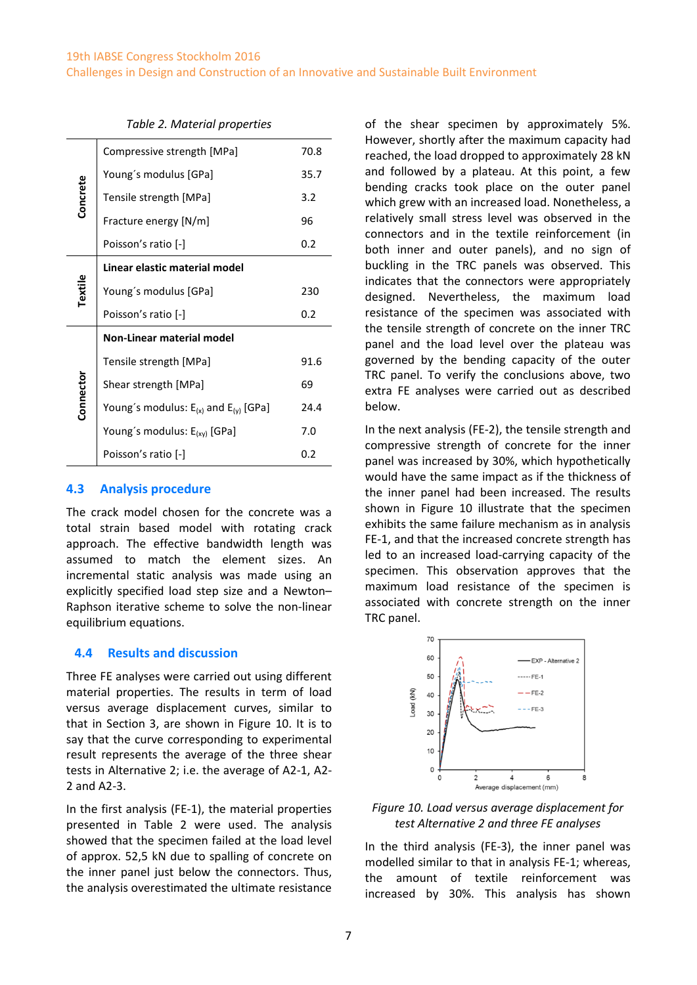#### 19th IABSE Congress Stockholm 2016

Challenges in Design and Construction of an Innovative and Sustainable Built Environment

|           | Compressive strength [MPa]                     | 70.8 |
|-----------|------------------------------------------------|------|
|           | Young's modulus [GPa]                          | 35.7 |
| Concrete  | Tensile strength [MPa]                         | 3.2  |
|           | Fracture energy [N/m]                          | 96   |
|           | Poisson's ratio [-]                            | 0.2  |
|           | Linear elastic material model                  |      |
| Textile   | Young's modulus [GPa]                          | 230  |
|           |                                                |      |
|           | Poisson's ratio [-]                            | 0.2  |
|           | <b>Non-Linear material model</b>               |      |
|           | Tensile strength [MPa]                         | 91.6 |
|           | Shear strength [MPa]                           | 69   |
|           | Young's modulus: $E_{(x)}$ and $E_{(y)}$ [GPa] | 24.4 |
| Connector | Young's modulus: $E_{(xy)}$ [GPa]              | 7.0  |

#### *Table 2. Material properties*

#### **4.3 Analysis procedure**

The crack model chosen for the concrete was a total strain based model with rotating crack approach. The effective bandwidth length was assumed to match the element sizes. An incremental static analysis was made using an explicitly specified load step size and a Newton– Raphson iterative scheme to solve the non-linear equilibrium equations.

#### **4.4 Results and discussion**

Three FE analyses were carried out using different material properties. The results in term of load versus average displacement curves, similar to that in Section 3, are shown in Figure 10. It is to say that the curve corresponding to experimental result represents the average of the three shear tests in Alternative 2; i.e. the average of A2-1, A2- 2 and A2-3.

In the first analysis (FE-1), the material properties presented in Table 2 were used. The analysis showed that the specimen failed at the load level of approx. 52,5 kN due to spalling of concrete on the inner panel just below the connectors. Thus, the analysis overestimated the ultimate resistance of the shear specimen by approximately 5%. However, shortly after the maximum capacity had reached, the load dropped to approximately 28 kN and followed by a plateau. At this point, a few bending cracks took place on the outer panel which grew with an increased load. Nonetheless, a relatively small stress level was observed in the connectors and in the textile reinforcement (in both inner and outer panels), and no sign of buckling in the TRC panels was observed. This indicates that the connectors were appropriately designed. Nevertheless, the maximum load resistance of the specimen was associated with the tensile strength of concrete on the inner TRC panel and the load level over the plateau was governed by the bending capacity of the outer TRC panel. To verify the conclusions above, two extra FE analyses were carried out as described below.

In the next analysis (FE-2), the tensile strength and compressive strength of concrete for the inner panel was increased by 30%, which hypothetically would have the same impact as if the thickness of the inner panel had been increased. The results shown in Figure 10 illustrate that the specimen exhibits the same failure mechanism as in analysis FE-1, and that the increased concrete strength has led to an increased load-carrying capacity of the specimen. This observation approves that the maximum load resistance of the specimen is associated with concrete strength on the inner TRC panel.



*Figure 10. Load versus average displacement for test Alternative 2 and three FE analyses*

In the third analysis (FE-3), the inner panel was modelled similar to that in analysis FE-1; whereas, the amount of textile reinforcement was increased by 30%. This analysis has shown